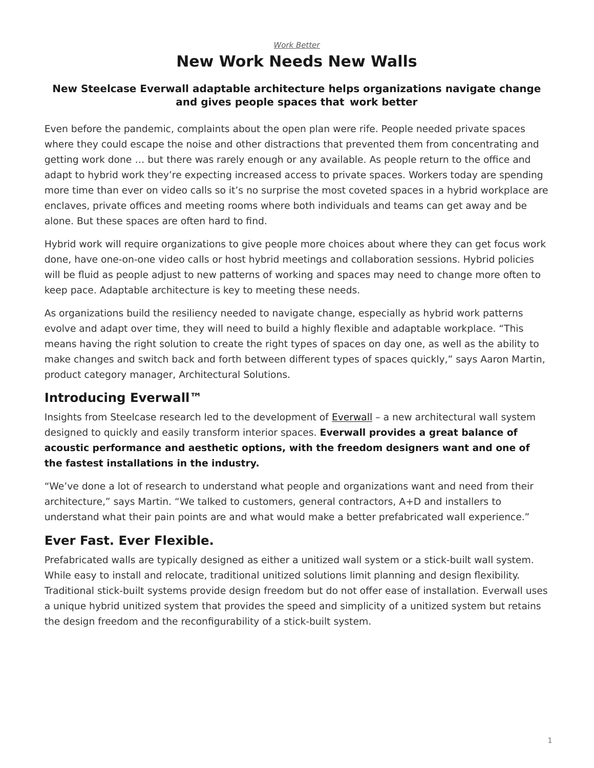## *[Work Better](https://www.steelcase.com/research/topics/work-better/)* **New Work Needs New Walls**

#### <span id="page-0-0"></span>**New Steelcase Everwall adaptable architecture helps organizations navigate change and gives people spaces that work better**

Even before the pandemic, complaints about the open plan were rife. People needed private spaces where they could escape the noise and other distractions that prevented them from concentrating and getting work done … but there was rarely enough or any available. As people return to the office and adapt to hybrid work they're expecting increased access to private spaces. Workers today are spending more time than ever on video calls so it's no surprise the most coveted spaces in a hybrid workplace are enclaves, private offices and meeting rooms where both individuals and teams can get away and be alone. But these spaces are often hard to find.

Hybrid work will require organizations to give people more choices about where they can get focus work done, have one-on-one video calls or host hybrid meetings and collaboration sessions. Hybrid policies will be fluid as people adjust to new patterns of working and spaces may need to change more often to keep pace. Adaptable architecture is key to meeting these needs.

As organizations build the resiliency needed to navigate change, especially as hybrid work patterns evolve and adapt over time, they will need to build a highly flexible and adaptable workplace. "This means having the right solution to create the right types of spaces on day one, as well as the ability to make changes and switch back and forth between different types of spaces quickly," says Aaron Martin, product category manager, Architectural Solutions.

# **Introducing Everwall™**

Insights from Steelcase research led to the development of [Everwall](https://www.steelcase.com/products/walls-work-walls/everwall/) – a new architectural wall system designed to quickly and easily transform interior spaces. **Everwall provides a great balance of acoustic performance and aesthetic options, with the freedom designers want and one of the fastest installations in the industry.**

"We've done a lot of research to understand what people and organizations want and need from their architecture," says Martin. "We talked to customers, general contractors, A+D and installers to understand what their pain points are and what would make a better prefabricated wall experience."

# **Ever Fast. Ever Flexible.**

Prefabricated walls are typically designed as either a unitized wall system or a stick-built wall system. While easy to install and relocate, traditional unitized solutions limit planning and design flexibility. Traditional stick-built systems provide design freedom but do not offer ease of installation. Everwall uses a unique hybrid unitized system that provides the speed and simplicity of a unitized system but retains the design freedom and the reconfigurability of a stick-built system.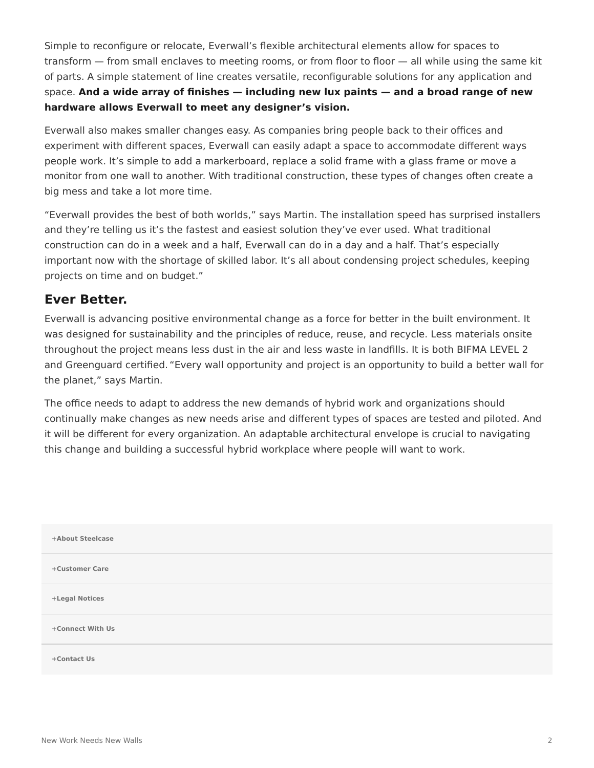Simple to reconfigure or relocate, Everwall's flexible architectural elements allow for spaces to transform — from small enclaves to meeting rooms, or from floor to floor — all while using the same kit of parts. A simple statement of line creates versatile, reconfigurable solutions for any application and space. **And a wide array of finishes — including new lux paints — and a broad range of new hardware allows Everwall to meet any designer's vision.**

Everwall also makes smaller changes easy. As companies bring people back to their offices and experiment with different spaces, Everwall can easily adapt a space to accommodate different ways people work. It's simple to add a markerboard, replace a solid frame with a glass frame or move a monitor from one wall to another. With traditional construction, these types of changes often create a big mess and take a lot more time.

"Everwall provides the best of both worlds," says Martin. The installation speed has surprised installers and they're telling us it's the fastest and easiest solution they've ever used. What traditional construction can do in a week and a half, Everwall can do in a day and a half. That's especially important now with the shortage of skilled labor. It's all about condensing project schedules, keeping projects on time and on budget."

## **Ever Better.**

Everwall is advancing positive environmental change as a force for better in the built environment. It was designed for sustainability and the principles of reduce, reuse, and recycle. Less materials onsite throughout the project means less dust in the air and less waste in landfills. It is both BIFMA LEVEL 2 and Greenguard certified. "Every wall opportunity and project is an opportunity to build a better wall for the planet," says Martin.

The office needs to adapt to address the new demands of hybrid work and organizations should continually make changes as new needs arise and different types of spaces are tested and piloted. And it will be different for every organization. An adaptable architectural envelope is crucial to navigating this change and building a successful hybrid workplace where people will want to work.

| +About Steelcase |
|------------------|
| +Customer Care   |
| +Legal Notices   |
| +Connect With Us |
| +Contact Us      |